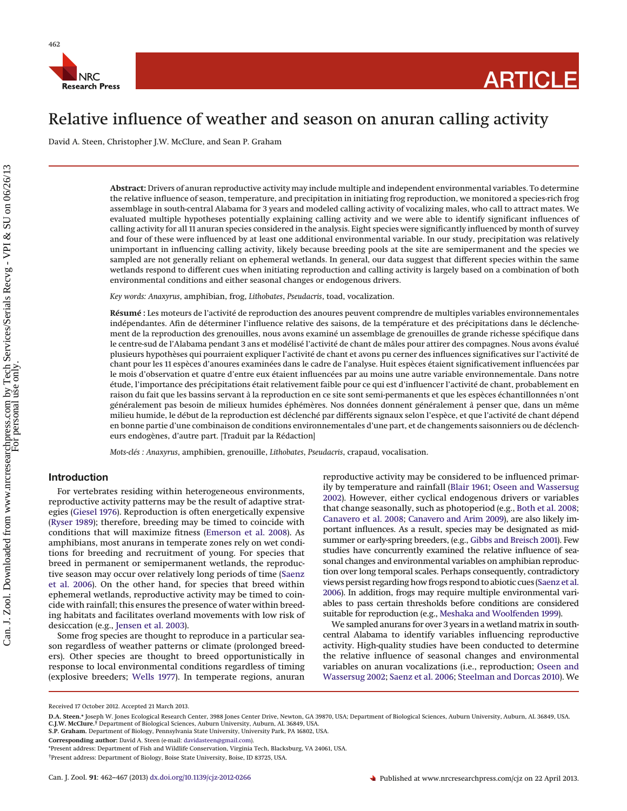

# Relative influence of weather and season on anuran calling activity

David A. Steen, Christopher J.W. McClure, and Sean P. Graham

**Abstract:** Drivers of anuran reproductive activity may include multiple and independent environmental variables. To determine the relative influence of season, temperature, and precipitation in initiating frog reproduction, we monitored a species-rich frog assemblage in south-central Alabama for 3 years and modeled calling activity of vocalizing males, who call to attract mates. We evaluated multiple hypotheses potentially explaining calling activity and we were able to identify significant influences of calling activity for all 11 anuran species considered in the analysis. Eight species were significantly influenced by month of survey and four of these were influenced by at least one additional environmental variable. In our study, precipitation was relatively unimportant in influencing calling activity, likely because breeding pools at the site are semipermanent and the species we sampled are not generally reliant on ephemeral wetlands. In general, our data suggest that different species within the same wetlands respond to different cues when initiating reproduction and calling activity is largely based on a combination of both environmental conditions and either seasonal changes or endogenous drivers.

*Key words: Anaxyrus*, amphibian, frog, *Lithobates*, *Pseudacris*, toad, vocalization.

**Résumé :** Les moteurs de l'activité de reproduction des anoures peuvent comprendre de multiples variables environnementales indépendantes. Afin de déterminer l'influence relative des saisons, de la température et des précipitations dans le déclenchement de la reproduction des grenouilles, nous avons examiné un assemblage de grenouilles de grande richesse spécifique dans le centre-sud de l'Alabama pendant 3 ans et modélisé l'activité de chant de mâles pour attirer des compagnes. Nous avons évalué plusieurs hypothèses qui pourraient expliquer l'activité de chant et avons pu cerner des influences significatives sur l'activité de chant pour les 11 espèces d'anoures examinées dans le cadre de l'analyse. Huit espèces étaient significativement influencées par le mois d'observation et quatre d'entre eux étaient influencées par au moins une autre variable environnementale. Dans notre étude, l'importance des précipitations était relativement faible pour ce qui est d'influencer l'activité de chant, probablement en raison du fait que les bassins servant à la reproduction en ce site sont semi-permanents et que les espèces échantillonnées n'ont généralement pas besoin de milieux humides éphémères. Nos données donnent généralement à penser que, dans un même milieu humide, le début de la reproduction est déclenché par différents signaux selon l'espèce, et que l'activité de chant dépend en bonne partie d'une combinaison de conditions environnementales d'une part, et de changements saisonniers ou de déclencheurs endogènes, d'autre part. [Traduit par la Rédaction]

*Mots-clés : Anaxyrus*, amphibien, grenouille, *Lithobates*, *Pseudacris*, crapaud, vocalisation.

# **Introduction**

For vertebrates residing within heterogeneous environments, reproductive activity patterns may be the result of adaptive strategies [\(Giesel 1976\)](#page-5-0). Reproduction is often energetically expensive [\(Ryser 1989\)](#page-5-1); therefore, breeding may be timed to coincide with conditions that will maximize fitness [\(Emerson et al. 2008\)](#page-5-2). As amphibians, most anurans in temperate zones rely on wet conditions for breeding and recruitment of young. For species that breed in permanent or semipermanent wetlands, the reproductive season may occur over relatively long periods of time [\(Saenz](#page-5-3) [et al. 2006\)](#page-5-3). On the other hand, for species that breed within ephemeral wetlands, reproductive activity may be timed to coincide with rainfall; this ensures the presence of water within breeding habitats and facilitates overland movements with low risk of desiccation (e.g., [Jensen et al. 2003\)](#page-5-4).

Some frog species are thought to reproduce in a particular season regardless of weather patterns or climate (prolonged breeders). Other species are thought to breed opportunistically in response to local environmental conditions regardless of timing (explosive breeders; [Wells 1977\)](#page-5-5). In temperate regions, anuran

reproductive activity may be considered to be influenced primarily by temperature and rainfall [\(Blair 1961;](#page-4-0) [Oseen and Wassersug](#page-5-6) [2002\)](#page-5-6). However, either cyclical endogenous drivers or variables that change seasonally, such as photoperiod (e.g., [Both et al. 2008;](#page-5-7) [Canavero et al. 2008;](#page-5-8) [Canavero and Arim 2009\)](#page-5-9), are also likely important influences. As a result, species may be designated as midsummer or early-spring breeders, (e.g., [Gibbs and Breisch 2001\)](#page-5-10). Few studies have concurrently examined the relative influence of seasonal changes and environmental variables on amphibian reproduction over long temporal scales. Perhaps consequently, contradictory views persist regarding how frogs respond to abiotic cues [\(Saenz et al.](#page-5-3) [2006\)](#page-5-3). In addition, frogs may require multiple environmental variables to pass certain thresholds before conditions are considered suitable for reproduction (e.g., [Meshaka and Woolfenden 1999\)](#page-5-11).

We sampled anurans for over 3 years in a wetland matrix in southcentral Alabama to identify variables influencing reproductive activity. High-quality studies have been conducted to determine the relative influence of seasonal changes and environmental variables on anuran vocalizations (i.e., reproduction; [Oseen and](#page-5-6) [Wassersug 2002;](#page-5-6) [Saenz et al. 2006;](#page-5-3) [Steelman and Dorcas 2010\)](#page-5-12). We

Received 17 October 2012. Accepted 21 March 2013.

D.A. S**teen.\*** Joseph W. Jones Ecological Research Center, 3988 Jones Center Drive, Newton, GA 39870, USA; Department of Biological Sciences, Auburn University, Auburn, AL 36849, USA.<br>**C.J.W. McClure.†** Department of Biolo

**S.P. Graham.** Department of Biology, Pennsylvania State University, University Park, PA 16802, USA.

**Corresponding author:** David A. Steen (e-mail: [davidasteen@gmail.com\)](mailto:davidasteen@gmail.com).

<sup>\*</sup>Present address: Department of Fish and Wildlife Conservation, Virginia Tech, Blacksburg, VA 24061, USA.

<sup>†</sup>Present address: Department of Biology, Boise State University, Boise, ID 83725, USA.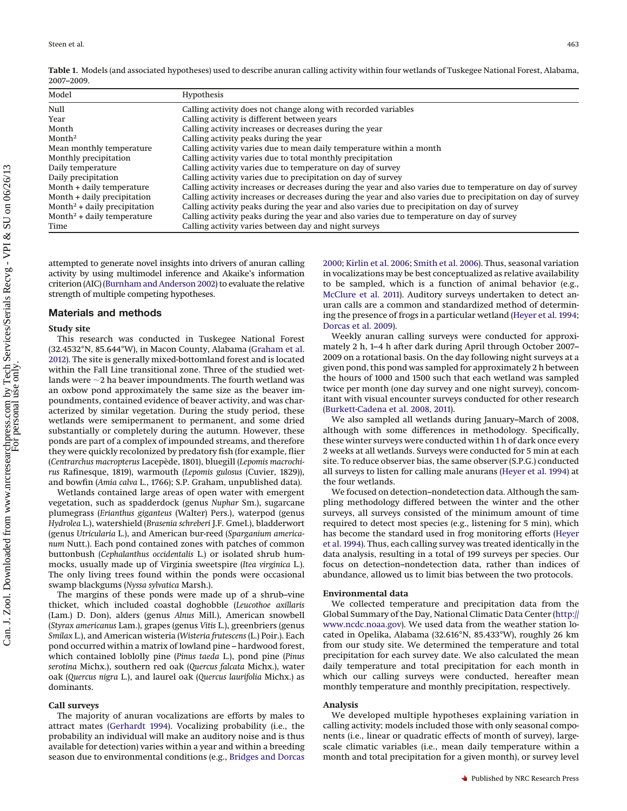<span id="page-1-0"></span>

|            | Table 1. Models (and associated hypotheses) used to describe anuran calling activity within four wetlands of Tuskegee National Forest, Alabama, |  |  |  |  |
|------------|-------------------------------------------------------------------------------------------------------------------------------------------------|--|--|--|--|
| 2007–2009. |                                                                                                                                                 |  |  |  |  |

| Model                                    | Hypothesis                                                                                                    |
|------------------------------------------|---------------------------------------------------------------------------------------------------------------|
| <b>Null</b>                              | Calling activity does not change along with recorded variables                                                |
| Year                                     | Calling activity is different between years                                                                   |
| Month                                    | Calling activity increases or decreases during the year                                                       |
| Month <sup>2</sup>                       | Calling activity peaks during the year                                                                        |
| Mean monthly temperature                 | Calling activity varies due to mean daily temperature within a month                                          |
| Monthly precipitation                    | Calling activity varies due to total monthly precipitation                                                    |
| Daily temperature                        | Calling activity varies due to temperature on day of survey                                                   |
| Daily precipitation                      | Calling activity varies due to precipitation on day of survey                                                 |
| Month + daily temperature                | Calling activity increases or decreases during the year and also varies due to temperature on day of survey   |
| Month + daily precipitation              | Calling activity increases or decreases during the year and also varies due to precipitation on day of survey |
| Month <sup>2</sup> + daily precipitation | Calling activity peaks during the year and also varies due to precipitation on day of survey                  |
| Month <sup>2</sup> + daily temperature   | Calling activity peaks during the year and also varies due to temperature on day of survey                    |
| Time                                     | Calling activity varies between day and night surveys                                                         |

attempted to generate novel insights into drivers of anuran calling activity by using multimodel inference and Akaike's information criterion (AIC) [\(Burnham and Anderson 2002\)](#page-5-13) to evaluate the relative strength of multiple competing hypotheses.

## **Materials and methods**

#### **Study site**

This research was conducted in Tuskegee National Forest (32.4532°N, 85.644°W), in Macon County, Alabama [\(Graham et al.](#page-5-14) [2012\)](#page-5-14). The site is generally mixed-bottomland forest and is located within the Fall Line transitional zone. Three of the studied wetlands were  $\sim$ 2 ha beaver impoundments. The fourth wetland was an oxbow pond approximately the same size as the beaver impoundments, contained evidence of beaver activity, and was characterized by similar vegetation. During the study period, these wetlands were semipermanent to permanent, and some dried substantially or completely during the autumn. However, these ponds are part of a complex of impounded streams, and therefore they were quickly recolonized by predatory fish (for example, flier (*Centrarchus macropterus* Lacepède, 1801), bluegill (*Lepomis macrochirus* Rafinesque, 1819), warmouth (*Lepomis gulosus* (Cuvier, 1829)), and bowfin (*Amia calva* L., 1766); S.P. Graham, unpublished data).

Wetlands contained large areas of open water with emergent vegetation, such as spadderdock (genus *Nuphar* Sm.), sugarcane plumegrass (*Erianthus giganteus* (Walter) Pers.), waterpod (genus *Hydrolea* L.), watershield (*Brasenia schreberi* J.F. Gmel.), bladderwort (genus *Utricularia* L.), and American bur-reed (*Sparganium americanum* Nutt.). Each pond contained zones with patches of common buttonbush (*Cephalanthus occidentalis* L.) or isolated shrub hummocks, usually made up of Virginia sweetspire (*Itea virginica* L.). The only living trees found within the ponds were occasional swamp blackgums (*Nyssa sylvatica* Marsh.).

The margins of these ponds were made up of a shrub–vine thicket, which included coastal doghobble (*Leucothoe axillaris* (Lam.) D. Don), alders (genus *Alnus* Mill.), American snowbell (*Styrax americanus* Lam.), grapes (genus *Vitis* L.), greenbriers (genus *Smilax* L.), and American wisteria (*Wisteria frutescens* (L.) Poir.). Each pond occurred within a matrix of lowland pine – hardwood forest, which contained loblolly pine (*Pinus taeda* L.), pond pine (*Pinus serotina* Michx.), southern red oak (*Quercus falcata* Michx.), water oak (*Quercus nigra* L.), and laurel oak (*Quercus laurifolia* Michx.) as dominants.

### **Call surveys**

The majority of anuran vocalizations are efforts by males to attract mates [\(Gerhardt 1994\)](#page-5-15). Vocalizing probability (i.e., the probability an individual will make an auditory noise and is thus available for detection) varies within a year and within a breeding season due to environmental conditions (e.g., [Bridges and Dorcas](#page-5-16)

[2000;](#page-5-16) [Kirlin et al. 2006;](#page-5-17) [Smith et al. 2006\)](#page-5-18). Thus, seasonal variation in vocalizations may be best conceptualized as relative availability to be sampled, which is a function of animal behavior (e.g., [McClure et al. 2011\)](#page-5-19). Auditory surveys undertaken to detect anuran calls are a common and standardized method of determining the presence of frogs in a particular wetland [\(Heyer et al. 1994;](#page-5-20) [Dorcas et al. 2009\)](#page-5-21).

Weekly anuran calling surveys were conducted for approximately 2 h, 1–4 h after dark during April through October 2007– 2009 on a rotational basis. On the day following night surveys at a given pond, this pond was sampled for approximately 2 h between the hours of 1000 and 1500 such that each wetland was sampled twice per month (one day survey and one night survey), concomitant with visual encounter surveys conducted for other research [\(Burkett-Cadena et al. 2008,](#page-5-22) [2011\)](#page-5-23).

We also sampled all wetlands during January–March of 2008, although with some differences in methodology. Specifically, these winter surveys were conducted within 1 h of dark once every 2 weeks at all wetlands. Surveys were conducted for 5 min at each site. To reduce observer bias, the same observer (S.P.G.) conducted all surveys to listen for calling male anurans [\(Heyer et al. 1994\)](#page-5-20) at the four wetlands.

We focused on detection–nondetection data. Although the sampling methodology differed between the winter and the other surveys, all surveys consisted of the minimum amount of time required to detect most species (e.g., listening for 5 min), which has become the standard used in frog monitoring efforts [\(Heyer](#page-5-20) [et al. 1994\)](#page-5-20). Thus, each calling survey was treated identically in the data analysis, resulting in a total of 199 surveys per species. Our focus on detection–nondetection data, rather than indices of abundance, allowed us to limit bias between the two protocols.

## **Environmental data**

We collected temperature and precipitation data from the Global Summary of the Day, National Climatic Data Center [\(http://](http://www.ncdc.noaa.gov) [www.ncdc.noaa.gov\)](http://www.ncdc.noaa.gov). We used data from the weather station located in Opelika, Alabama (32.616°N, 85.433°W), roughly 26 km from our study site. We determined the temperature and total precipitation for each survey date. We also calculated the mean daily temperature and total precipitation for each month in which our calling surveys were conducted, hereafter mean monthly temperature and monthly precipitation, respectively.

#### **Analysis**

We developed multiple hypotheses explaining variation in calling activity; models included those with only seasonal components (i.e., linear or quadratic effects of month of survey), largescale climatic variables (i.e., mean daily temperature within a month and total precipitation for a given month), or survey level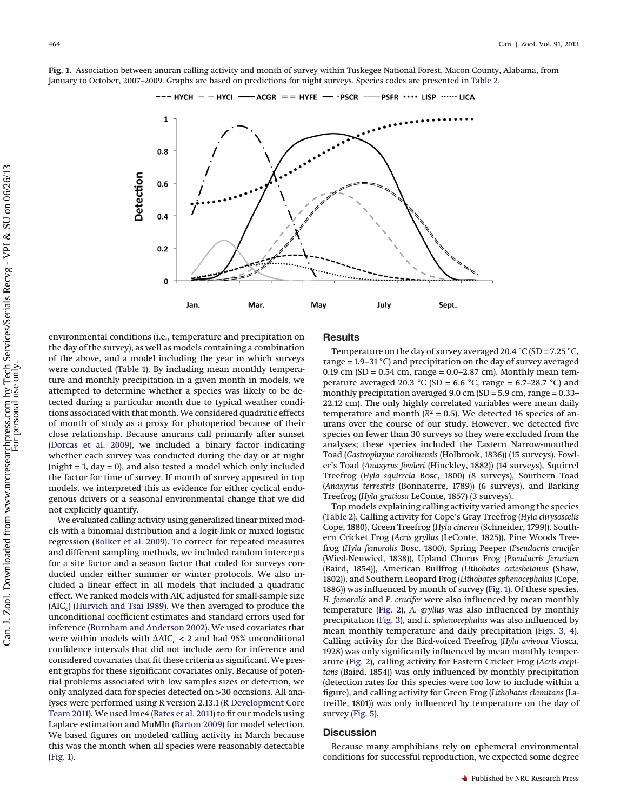<span id="page-2-0"></span>**Fig. 1.** Association between anuran calling activity and month of survey within Tuskegee National Forest, Macon County, Alabama, from January to October, 2007–2009. Graphs are based on predictions for night surveys. Species codes are presented in [Table 2.](#page-3-0)



Can. J. Zool. Downloaded from www.nrcresearchpress.com by Tech Services/Serials Recvg - VPI & SU on 06/26/13<br>For personal use only. Can. J. Zool. Downloaded from www.nrcresearchpress.com by Tech Services/Serials Recvg - VPI & SU on 06/26/13<br>For personal use only.

environmental conditions (i.e., temperature and precipitation on the day of the survey), as well as models containing a combination of the above, and a model including the year in which surveys were conducted [\(Table 1\)](#page-1-0). By including mean monthly temperature and monthly precipitation in a given month in models, we attempted to determine whether a species was likely to be detected during a particular month due to typical weather conditions associated with that month. We considered quadratic effects of month of study as a proxy for photoperiod because of their close relationship. Because anurans call primarily after sunset [\(Dorcas et al. 2009\)](#page-5-21), we included a binary factor indicating whether each survey was conducted during the day or at night (night = 1, day = 0), and also tested a model which only included the factor for time of survey. If month of survey appeared in top models, we interpreted this as evidence for either cyclical endogenous drivers or a seasonal environmental change that we did not explicitly quantify.

We evaluated calling activity using generalized linear mixed models with a binomial distribution and a logit-link or mixed logistic regression [\(Bolker et al. 2009\)](#page-4-1). To correct for repeated measures and different sampling methods, we included random intercepts for a site factor and a season factor that coded for surveys conducted under either summer or winter protocols. We also included a linear effect in all models that included a quadratic effect. We ranked models with AIC adjusted for small-sample size  $(AIC_c)$  [\(Hurvich and Tsai 1989\)](#page-5-24). We then averaged to produce the unconditional coefficient estimates and standard errors used for inference [\(Burnham and Anderson 2002\)](#page-5-13). We used covariates that were within models with  $\Delta AIC_c < 2$  and had 95% unconditional confidence intervals that did not include zero for inference and considered covariates that fit these criteria as significant. We present graphs for these significant covariates only. Because of potential problems associated with low samples sizes or detection, we only analyzed data for species detected on >30 occasions. All analyses were performed using R version 2.13.1 [\(R Development Core](#page-5-25) [Team 2011\)](#page-5-25). We used lme4 [\(Bates et al. 2011\)](#page-4-2) to fit our models using Laplace estimation and MuMIn [\(Barton 2009\)](#page-4-3) for model selection. We based figures on modeled calling activity in March because this was the month when all species were reasonably detectable [\(Fig. 1\)](#page-2-0).

# **Results**

Temperature on the day of survey averaged 20.4  $\degree$ C (SD = 7.25  $\degree$ C, range = 1.9–31 °C) and precipitation on the day of survey averaged 0.19 cm (SD =  $0.54$  cm, range =  $0.0-2.87$  cm). Monthly mean temperature averaged 20.3 °C (SD = 6.6 °C, range = 6.7–28.7 °C) and monthly precipitation averaged 9.0 cm (SD = 5.9 cm, range = 0.33– 22.12 cm). The only highly correlated variables were mean daily temperature and month  $(R^2 = 0.5)$ . We detected 16 species of anurans over the course of our study. However, we detected five species on fewer than 30 surveys so they were excluded from the analyses; these species included the Eastern Narrow-mouthed Toad (*Gastrophryne carolinensis* (Holbrook, 1836)) (15 surveys), Fowler's Toad (*Anaxyrus fowleri* (Hinckley, 1882)) (14 surveys), Squirrel Treefrog (*Hyla squirrela* Bosc, 1800) (8 surveys), Southern Toad (*Anaxyrus terrestris* (Bonnaterre, 1789)) (6 surveys), and Barking Treefrog (*Hyla gratiosa* LeConte, 1857) (3 surveys).

Top models explaining calling activity varied among the species [\(Table 2\)](#page-3-0). Calling activity for Cope's Gray Treefrog (*Hyla chrysoscelis* Cope, 1880), Green Treefrog (*Hyla cinerea* (Schneider, 1799)), Southern Cricket Frog (*Acris gryllus* (LeConte, 1825)), Pine Woods Treefrog (*Hyla femoralis* Bosc, 1800), Spring Peeper (*Pseudacris crucifer* (Wied-Neuwied, 1838)), Upland Chorus Frog (*Pseudacris ferarium* (Baird, 1854)), American Bullfrog (*Lithobates catesbeianus* (Shaw, 1802)), and Southern Leopard Frog (*Lithobates sphenocephalus* (Cope, 1886)) was influenced by month of survey [\(Fig. 1\)](#page-2-0). Of these species, *H. femoralis* and *P. crucifer* were also influenced by mean monthly temperature [\(Fig. 2\)](#page-3-1), *A. gryllus* was also influenced by monthly precipitation [\(Fig. 3\)](#page-3-2), and *L. sphenocephalus* was also influenced by mean monthly temperature and daily precipitation [\(Figs. 3,](#page-3-2) [4\)](#page-4-1). Calling activity for the Bird-voiced Treefrog (*Hyla avivoca* Viosca, 1928) was only significantly influenced by mean monthly temperature [\(Fig. 2\)](#page-3-1), calling activity for Eastern Cricket Frog (*Acris crepitans* (Baird, 1854)) was only influenced by monthly precipitation (detection rates for this species were too low to include within a figure), and calling activity for Green Frog (*Lithobates clamitans* (Latreille, 1801)) was only influenced by temperature on the day of survey [\(Fig. 5\)](#page-4-4).

## **Discussion**

Because many amphibians rely on ephemeral environmental conditions for successful reproduction, we expected some degree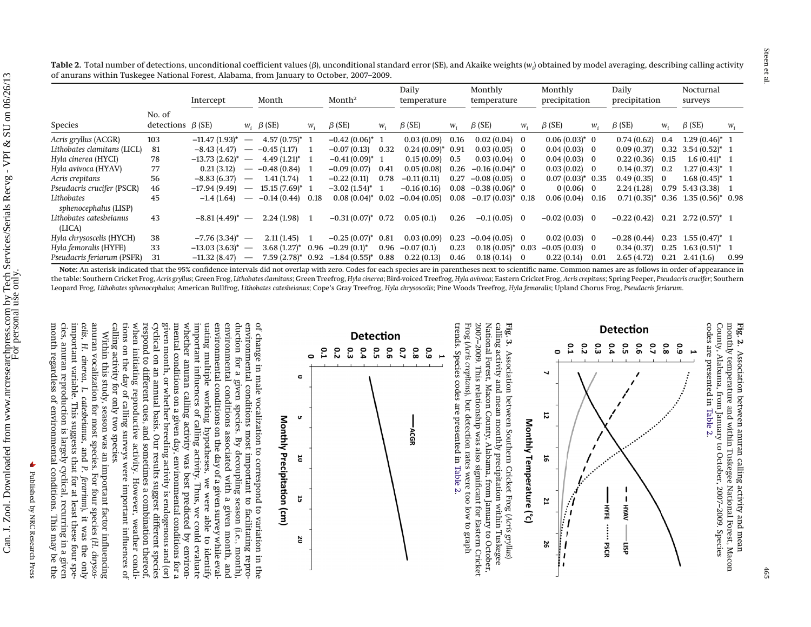<span id="page-3-3"></span><span id="page-3-1"></span>

|                                     |                      | Intercept          |                                 | Month                |       | Month <sup>2</sup> |       | Daily<br>temperature |       | Monthly<br>temperature |          | Monthly<br>precipitation |       | Daily<br>precipitation |          | Nocturnal<br>surveys     |       |
|-------------------------------------|----------------------|--------------------|---------------------------------|----------------------|-------|--------------------|-------|----------------------|-------|------------------------|----------|--------------------------|-------|------------------------|----------|--------------------------|-------|
| <b>Species</b>                      | No. of<br>detections | $\beta$ (SE)       |                                 | $w_i$ , $\beta$ (SE) | $W_i$ | $\beta$ (SE)       | $W_i$ | $\beta$ (SE)         | $W_i$ | $\beta$ (SE)           | $W_i$    | $\beta$ (SE)             | $W_i$ | $\beta$ (SE)           | $W_i$    | $\beta$ (SE)             | $W_i$ |
| Acris gryllus (ACGR)                | 103                  | $-11.47(1.93)$ *   | $\overline{\phantom{m}}$        | $4.57(0.75)^*$ 1     |       | $-0.42(0.06)^*$ 1  |       | 0.03(0.09)           | 0.16  | $0.02(0.04)$ 0         |          | $0.06(0.03)^*$ 0         |       | 0.74(0.62)             | 0.4      | $1.29(0.46)^*$ 1         |       |
| Lithobates clamitans (LICL)         | 81                   | $-8.43(4.47)$      | $\overline{\phantom{a}}$        | $-0.45(1.17)$        |       | $-0.07(0.13)$      | 0.32  | $0.24(0.09)^*$ 0.91  |       | $0.03(0.05)$ 0         |          | $0.04(0.03)$ 0           |       | 0.09(0.37)             |          | $0.32$ 3.54 $(0.52)^*$ 1 |       |
| Hyla cinerea (HYCI)                 | 78                   | $-13.73(2.62)^{*}$ | $\hspace{0.1mm}-\hspace{0.1mm}$ | $4.49(1.21)^*$       |       | $-0.41(0.09)^*$ 1  |       | 0.15(0.09)           | 0.5   | $0.03(0.04)$ 0         |          | $0.04(0.03)$ 0           |       | 0.22(0.36)             | 0.15     | $1.6(0.41)^*$ 1          |       |
| Hyla avivoca (HYAV)                 | 77                   | 0.21(3.12)         | $\overline{\phantom{m}}$        | $-0.48(0.84)$        |       | $-0.09(0.07)$      | 0.41  | 0.05(0.08)           | 0.26  | $-0.16(0.04)^*$ 0      |          | $0.03(0.02)$ 0           |       | 0.14(0.37)             | 0.2      | $1.27(0.43)^*$ 1         |       |
| Acris crepitans                     | 56                   | $-8.83(6.37)$      | $\overline{\phantom{a}}$        | 1.41(1.74)           |       | $-0.22(0.11)$      | 0.78  | $-0.11(0.11)$        | 0.27  | $-0.08(0.05)$ 0        |          | $0.07(0.03)^*$ 0.35      |       | 0.49(0.35)             | $\bf{0}$ | $1.68(0.45)^*$ 1         |       |
| Pseudacris crucifer (PSCR)          | 46                   | $-17.94(9.49)$     | $\hspace{0.1mm}-\hspace{0.1mm}$ | $15.15(7.69)^*$ 1    |       | $-3.02(1.54)^*$ 1  |       | $-0.16(0.16)$        | 0.08  | $-0.38(0.06)^*$ 0      |          | $0(0.06)$ 0              |       | 2.24(1.28)             | 0.79     | $5.43(3.38)$ 1           |       |
| Lithobates<br>sphenocephalus (LISP) | 45                   | $-1.4(1.64)$       |                                 | $-0.14(0.44)$ 0.18   |       | $0.08(0.04)^*$     | 0.02  | $-0.04(0.05)$        | 0.08  | $-0.17(0.03)^*$ 0.18   |          | 0.06(0.04)               | 0.16  | $0.71(0.35)^{*}$       | 0.36     | $1.35(0.56)^*$ 0.98      |       |
| Lithobates catesbeianus<br>(LICA)   | 43                   | $-8.81(4.49)^*$ —  |                                 | 2.24(1.98)           |       | $-0.31(0.07)^{*}$  | 0.72  | 0.05(0.1)            | 0.26  | $-0.1(0.05)$ 0         |          | $-0.02(0.03)$ 0          |       | $-0.22(0.42)$          | 0.21     | $2.72(0.57)^*$ 1         |       |
| Hyla chrysoscelis (HYCH)            | 38                   | $-7.76(3.34)^*$ —  |                                 | 2.11(1.45)           |       | $-0.25(0.07)^{*}$  | 0.81  | 0.03(0.09)           | 0.23  | $-0.04(0.05)$ 0        |          | $0.02(0.03)$ 0           |       | $-0.28(0.44)$          | 0.23     | $1.55(0.47)^*$ 1         |       |
| Hyla femoralis (HYFE)               | 33                   | $-13.03(3.63)^*$ — |                                 | $3.68(1.27)^*$       | 0.96  | $-0.29(0.1)^{*}$   | 0.96  | $-0.07(0.1)$         | 0.23  | $0.18(0.05)^*$ 0.03    |          | $-0.05(0.03)$ 0          |       | 0.34(0.37)             | 0.25     | $1.63(0.51)^*$ 1         |       |
| Pseudacris feriarum (PSFR)          | 31                   | –11.32 (8.47)      | $\hspace{0.1mm}-\hspace{0.1mm}$ | $7.59(2.78)^*$       | 0.92  | $-1.84(0.55)$ *    | 0.88  | 0.22(0.13)           | 0.46  | 0.18(0.14)             | $\Omega$ | 0.22(0.14)               | 0.01  | 2.65(4.72)             | 0.21     | 2.41(1.6)                | 0.99  |

**Note:** An asterisk indicated that the 95% confidence intervals did not overlap with zero. Codes for each species are in parentheses next to scientific name. Common names are as follows in order of appearance in the table: Southern Cricket Frog, Acris gryllus; Green Frog, Lithobates clamitans; Green Treefrog, Hyla cinerea; Bird-voiced Treefrog, Hyla avivoca; Eastern Cricket Frog, Acris crepitans; Spring Peeper, Pseudacris crucifer Leopard Frog, Lithobates sphenocephalus; American Bullfrog, Lithobates catesbeianus; Cope's Gray Treefrog, Hyla chrysoscelis; Pine Woods Treefrog, Hyla femoralis; Upland Chorus Frog, Pseudacris feriarum.

important variable. This suggests that for at least these four speimportant variable. This suggests that for at least these four spe*celis*, anuran vocalization for most species. For four species (*H. chrysos*calling activity for only two species calling activity for only two species. Within this study, season was an important factor influencing Within this study, season was an important factor influencing *H. cinerea*, *L. catesbeianus*, and *P. ferarium*), it was the only

cyclical on an annual basis. Our results suggest different species<br>respond to different cues, and sometimes a combination thereof,<br>when initiating reproductive activity. However, weather condi-<br>tions on the day of calling of change in male vocalization to correspond to variation in the environmental conditions most important to facilitating reproduction for a given species. By decoupling season (i.e., month), environmental conditions assoc tions on the day of calling surveys were important influences of when initiating reproductive activity. However, weather condirespond to different cues, and sometimes a combination thereof, cyclical on an annual basis. Our results suggest different species given month, or whether breeding activity is endogenous and (or) given month, or whether breeding activity is endogenous and (or) mental conditions on a given day, environmental conditions for a mental conditions on a given day, environmental conditions for a important influences of calling activity. Thus, we could evaluate<br>whether anuran calling activity was best predicted by environwhether anuran calling activity was best predicted by environimportant influences of calling activity. Thus, we could evaluate uating multiple working hypotheses, we were able to identify environmental conditions on the day of a given survey while evalenvironmental conditions associated with a given month, and duction for a given species. By decoupling season (i.e., month), environmental conditions most important to facilitating reproof change in male vocalization to correspond to variation in the

<span id="page-3-2"></span>

**Fig. 3.** Association between Southern Cricket Frog (Acris gryllus)<br>calling activity and mean monthly precipitation within Tuskegee<br>National Forest, Macon County, Alabama, from January to October,<br>National Forest, Macon Co Association between Southern Cricket Frog (*Acris gryllus*) 2007–2009. This relationship was also significant for Eastern Cricket<br>Frog (Acris crepitans), but detection rates were too low to graph 2007–2009. This relationship was also significant for Eastern Cricket National Forest, Macon County, Alabama, from January to October, calling activity and mean monthly precipitation within Tuskegee *Acris crepitans*), but detection rates were too low to graph



**Fig. 2.** Association between anuran calling activity and mean monthly temperature and within Tuskegee National Forest, Macon County, Alabama, from January to October, 2007–2009. Species codes are codes are presented in County, Alabama, from January to October, 2007–2009. Species monthly temperature and within Tuskegee National Forest, Macon Association between anuran calling activity and mean  $\begin{bmatrix} \text{presented in Table 2.} \end{bmatrix}$  $\begin{bmatrix} \text{presented in Table 2.} \end{bmatrix}$  $\begin{bmatrix} \text{presented in Table 2.} \end{bmatrix}$ 

465



month regardless of environmental conditions. This may be the cies, anuran reproduction is largely cyclical, recurring in a given

of environmental conditions.

is largely cyclical, recurring in a<br>commental conditions. This may t

<span id="page-3-0"></span>be l given p.

cies, anuran reproduction<br>month regardless of envir

 $\blacktriangleright$ 

**Detection** 

 $\mathsf{L}^0$  $\overline{\mathbf{c}}$ ິລ 0.4 **0.5** 9.0  $\mathfrak{c}_0$  $0.8$  $\mathbf{c}$ 

 $\overline{\mathscr{C}}$  $\prime$ 

-HYFE ...... PSCR

 $\mathbf{I}$ 

 $N$ 

ESP

 $\circ$ 

 $\overline{\phantom{a}}$ 

12

5

21

 $\mathcal{U}$ 

 $\left| \begin{array}{c} \frac{1}{2} \\ \frac{1}{2} \end{array} \right|$ 26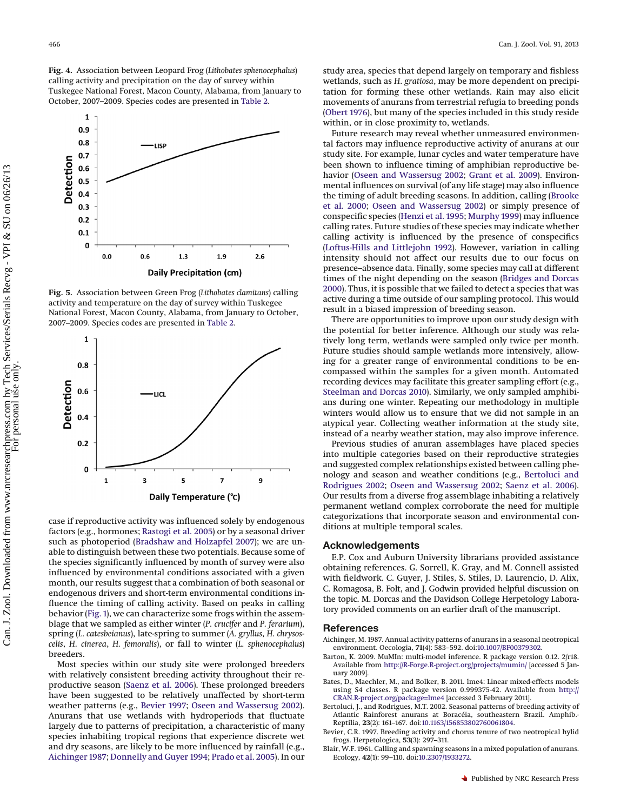<span id="page-4-1"></span>

<span id="page-4-4"></span>**Fig. 5.** Association between Green Frog (*Lithobates clamitans*) calling activity and temperature on the day of survey within Tuskegee National Forest, Macon County, Alabama, from January to October, 2007–2009. Species codes are presented in [Table 2.](#page-3-0)



case if reproductive activity was influenced solely by endogenous factors (e.g., hormones; [Rastogi et al. 2005\)](#page-5-26) or by a seasonal driver such as photoperiod [\(Bradshaw and Holzapfel 2007\)](#page-5-27); we are unable to distinguish between these two potentials. Because some of the species significantly influenced by month of survey were also influenced by environmental conditions associated with a given month, our results suggest that a combination of both seasonal or endogenous drivers and short-term environmental conditions influence the timing of calling activity. Based on peaks in calling behavior [\(Fig. 1\)](#page-2-0), we can characterize some frogs within the assemblage that we sampled as either winter (*P. crucifer* and *P. ferarium*), spring (*L*. *catesbeianus*), late-spring to summer (*A. gryllus*, *H. chrysoscelis*, *H. cinerea*, *H. femoralis*), or fall to winter (*L. sphenocephalus*) breeders.

Most species within our study site were prolonged breeders with relatively consistent breeding activity throughout their reproductive season [\(Saenz et al. 2006\)](#page-5-3). These prolonged breeders have been suggested to be relatively unaffected by short-term weather patterns (e.g., [Bevier 1997;](#page-4-5) [Oseen and Wassersug 2002\)](#page-5-6). Anurans that use wetlands with hydroperiods that fluctuate largely due to patterns of precipitation, a characteristic of many species inhabiting tropical regions that experience discrete wet and dry seasons, are likely to be more influenced by rainfall (e.g., [Aichinger 1987;](#page-4-6) [Donnelly and Guyer 1994;](#page-5-28) [Prado et al. 2005\)](#page-5-29). In our

study area, species that depend largely on temporary and fishless wetlands, such as *H*. *gratiosa*, may be more dependent on precipitation for forming these other wetlands. Rain may also elicit movements of anurans from terrestrial refugia to breeding ponds [\(Obert 1976\)](#page-5-30), but many of the species included in this study reside within, or in close proximity to, wetlands.

Future research may reveal whether unmeasured environmental factors may influence reproductive activity of anurans at our study site. For example, lunar cycles and water temperature have been shown to influence timing of amphibian reproductive behavior [\(Oseen and Wassersug 2002;](#page-5-6) [Grant et al. 2009\)](#page-5-31). Environmental influences on survival (of any life stage) may also influence the timing of adult breeding seasons. In addition, calling [\(Brooke](#page-5-32) [et al. 2000;](#page-5-32) [Oseen and Wassersug 2002\)](#page-5-6) or simply presence of conspecific species [\(Henzi et al. 1995;](#page-5-33) [Murphy 1999\)](#page-5-34) may influence calling rates. Future studies of these species may indicate whether calling activity is influenced by the presence of conspecifics [\(Loftus-Hills and Littlejohn 1992\)](#page-5-35). However, variation in calling intensity should not affect our results due to our focus on presence–absence data. Finally, some species may call at different times of the night depending on the season [\(Bridges and Dorcas](#page-5-16) [2000\)](#page-5-16). Thus, it is possible that we failed to detect a species that was active during a time outside of our sampling protocol. This would result in a biased impression of breeding season.

There are opportunities to improve upon our study design with the potential for better inference. Although our study was relatively long term, wetlands were sampled only twice per month. Future studies should sample wetlands more intensively, allowing for a greater range of environmental conditions to be encompassed within the samples for a given month. Automated recording devices may facilitate this greater sampling effort (e.g., [Steelman and Dorcas 2010\)](#page-5-12). Similarly, we only sampled amphibians during one winter. Repeating our methodology in multiple winters would allow us to ensure that we did not sample in an atypical year. Collecting weather information at the study site, instead of a nearby weather station, may also improve inference.

Previous studies of anuran assemblages have placed species into multiple categories based on their reproductive strategies and suggested complex relationships existed between calling phenology and season and weather conditions (e.g., [Bertoluci and](#page-4-7) [Rodrigues 2002;](#page-4-7) [Oseen and Wassersug 2002;](#page-5-6) [Saenz et al. 2006\)](#page-5-3). Our results from a diverse frog assemblage inhabiting a relatively permanent wetland complex corroborate the need for multiple categorizations that incorporate season and environmental conditions at multiple temporal scales.

## **Acknowledgements**

E.P. Cox and Auburn University librarians provided assistance obtaining references. G. Sorrell, K. Gray, and M. Connell assisted with fieldwork. C. Guyer, J. Stiles, S. Stiles, D. Laurencio, D. Alix, C. Romagosa, B. Folt, and J. Godwin provided helpful discussion on the topic. M. Dorcas and the Davidson College Herpetology Laboratory provided comments on an earlier draft of the manuscript.

## <span id="page-4-6"></span>**References**

- Aichinger, M. 1987. Annual activity patterns of anurans in a seasonal neotropical environment. Oecologia, **71**(4): 583–592. doi[:10.1007/BF00379302.](http://dx.doi.org/10.1007/BF00379302)
- <span id="page-4-3"></span>Barton, K. 2009. MuMIn: multi-model inference. R package version 0.12. 2/r18. Available from <http://R-Forge.R-project.org/projects/mumin/> [accessed 5 January 2009].
- <span id="page-4-2"></span>Bates, D., Maechler, M., and Bolker, B. 2011. lme4: Linear mixed-effects models using S4 classes. R package version 0.999375-42. Available from [http://](http://CRAN.R-project.org/package=lme4) [CRAN.R-project.org/package=lme4](http://CRAN.R-project.org/package=lme4) [accessed 3 February 2011].
- <span id="page-4-7"></span>Bertoluci, J., and Rodrigues, M.T. 2002. Seasonal patterns of breeding activity of Atlantic Rainforest anurans at Boracéia, southeastern Brazil. Amphib.- Reptilia, **23**(2): 161–167. doi[:10.1163/156853802760061804.](http://dx.doi.org/10.1163/156853802760061804)
- <span id="page-4-5"></span>Bevier, C.R. 1997. Breeding activity and chorus tenure of two neotropical hylid frogs. Herpetologica, **53**(3): 297–311.
- <span id="page-4-0"></span>Blair, W.F. 1961. Calling and spawning seasons in a mixed population of anurans. Ecology, **42**(1): 99–110. doi[:10.2307/1933272.](http://dx.doi.org/10.2307/1933272)